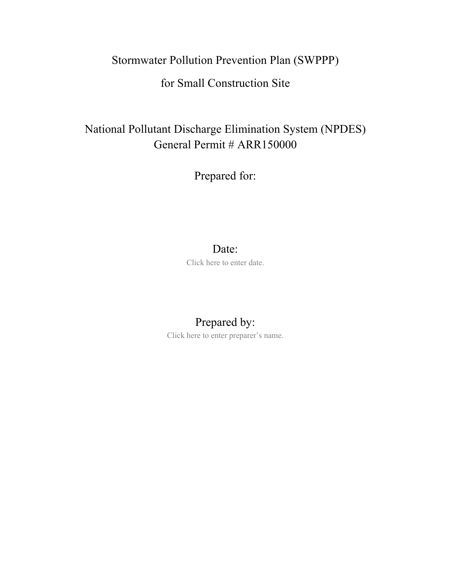# Stormwater Pollution Prevention Plan (SWPPP)

# for Small Construction Site

# National Pollutant Discharge Elimination System (NPDES) General Permit # ARR150000

Prepared for:

### Date:

Click here to enter date.

# Prepared by:

Click here to enter preparer's name.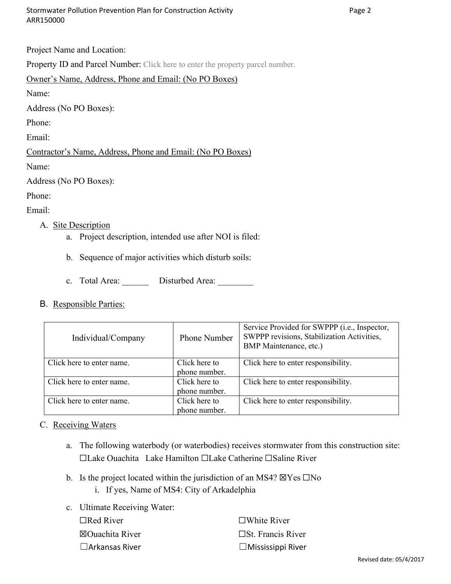Project Name and Location:

Property ID and Parcel Number: Click here to enter the property parcel number.

#### Owner's Name, Address, Phone and Email: (No PO Boxes)

Name:

Address (No PO Boxes):

Phone:

Email:

#### Contractor's Name, Address, Phone and Email: (No PO Boxes)

Name:

Address (No PO Boxes):

Phone:

Email:

#### A. Site Description

- a. Project description, intended use after NOI is filed:
- b. Sequence of major activities which disturb soils:
- c. Total Area: Disturbed Area:
- B. Responsible Parties:

| Individual/Company        | Phone Number                   | Service Provided for SWPPP (i.e., Inspector,<br>SWPPP revisions, Stabilization Activities,<br>BMP Maintenance, etc.) |  |
|---------------------------|--------------------------------|----------------------------------------------------------------------------------------------------------------------|--|
| Click here to enter name. | Click here to<br>phone number. | Click here to enter responsibility.                                                                                  |  |
| Click here to enter name. | Click here to<br>phone number. | Click here to enter responsibility.                                                                                  |  |
| Click here to enter name. | Click here to<br>phone number. | Click here to enter responsibility.                                                                                  |  |

C. Receiving Waters

- a. The following waterbody (or waterbodies) receives stormwater from this construction site: ☐Lake Ouachita Lake Hamilton ☐Lake Catherine ☐Saline River
- b. Is the project located within the jurisdiction of an MS4?  $\boxtimes$  Yes  $\Box$ No
	- i. If yes, Name of MS4: City of Arkadelphia

| c. Ultimate Receiving Water: |                             |
|------------------------------|-----------------------------|
| $\Box$ Red River             | $\Box$ White River          |
| $\boxtimes$ Ouachita River   | $\square$ St. Francis River |
| $\Box$ Arkansas River        | $\Box$ Mississippi River    |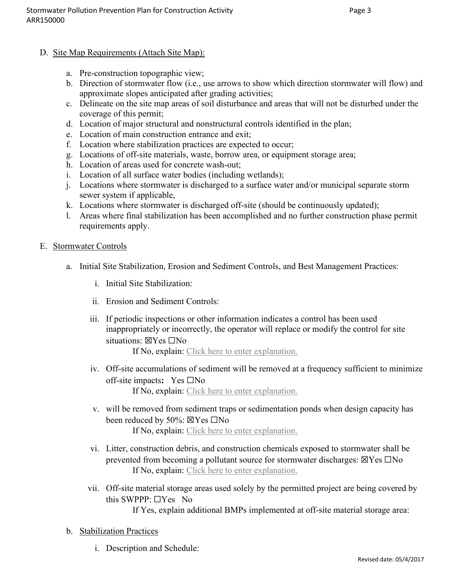- D. Site Map Requirements (Attach Site Map):
	- a. Pre-construction topographic view;
	- b. Direction of stormwater flow (i.e., use arrows to show which direction stormwater will flow) and approximate slopes anticipated after grading activities;
	- c. Delineate on the site map areas of soil disturbance and areas that will not be disturbed under the coverage of this permit;
	- d. Location of major structural and nonstructural controls identified in the plan;
	- e. Location of main construction entrance and exit;
	- f. Location where stabilization practices are expected to occur;
	- g. Locations of off-site materials, waste, borrow area, or equipment storage area;
	- h. Location of areas used for concrete wash-out;
	- i. Location of all surface water bodies (including wetlands);
	- j. Locations where stormwater is discharged to a surface water and/or municipal separate storm sewer system if applicable,
	- k. Locations where stormwater is discharged off-site (should be continuously updated);
	- l. Areas where final stabilization has been accomplished and no further construction phase permit requirements apply.
- E. Stormwater Controls
	- a. Initial Site Stabilization, Erosion and Sediment Controls, and Best Management Practices:
		- i. Initial Site Stabilization:
		- ii. Erosion and Sediment Controls:
		- iii. If periodic inspections or other information indicates a control has been used inappropriately or incorrectly, the operator will replace or modify the control for site situations: ⊠Yes □No

If No, explain: Click here to enter explanation.

- iv. Off-site accumulations of sediment will be removed at a frequency sufficient to minimize off-site impacts**:** Yes ☐No If No, explain: Click here to enter explanation.
- v. will be removed from sediment traps or sedimentation ponds when design capacity has been reduced by 50%: ☒Yes ☐No If No, explain: Click here to enter explanation.
- vi. Litter, construction debris, and construction chemicals exposed to stormwater shall be prevented from becoming a pollutant source for stormwater discharges:  $\boxtimes$ Yes  $\Box$ No If No, explain: Click here to enter explanation.
- vii. Off-site material storage areas used solely by the permitted project are being covered by this SWPPP:  $\Box$ Yes No
	- If Yes, explain additional BMPs implemented at off-site material storage area:
- b. Stabilization Practices
	- i. Description and Schedule: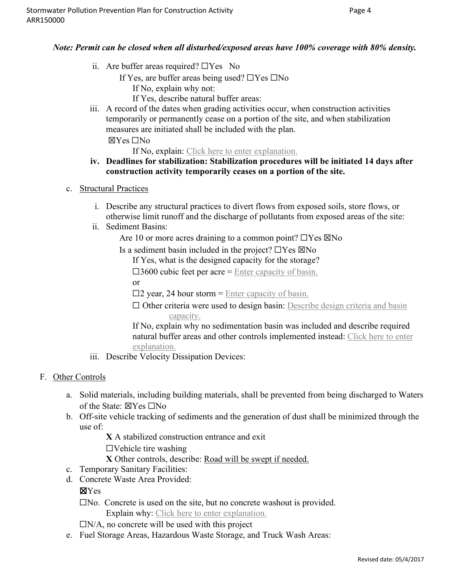#### *Note: Permit can be closed when all disturbed/exposed areas have 100% coverage with 80% density.*

- ii. Are buffer areas required?  $\Box$  Yes No
	- If Yes, are buffer areas being used? ☐Yes ☐No
		- If No, explain why not:
		- If Yes, describe natural buffer areas:
- iii. A record of the dates when grading activities occur, when construction activities temporarily or permanently cease on a portion of the site, and when stabilization measures are initiated shall be included with the plan.

☒Yes ☐No

If No, explain: Click here to enter explanation.

#### **iv. Deadlines for stabilization: Stabilization procedures will be initiated 14 days after construction activity temporarily ceases on a portion of the site.**

- c. Structural Practices
	- i. Describe any structural practices to divert flows from exposed soils, store flows, or otherwise limit runoff and the discharge of pollutants from exposed areas of the site:
	- ii. Sediment Basins:

Are 10 or more acres draining to a common point?  $\Box$  Yes  $\boxtimes$  No

Is a sediment basin included in the project?  $\Box$  Yes  $\boxtimes$  No

If Yes, what is the designed capacity for the storage?

 $\square$ 3600 cubic feet per acre = Enter capacity of basin.

or

 $\square$ 2 year, 24 hour storm = Enter capacity of basin.

 $\Box$  Other criteria were used to design basin: Describe design criteria and basin capacity.

If No, explain why no sedimentation basin was included and describe required natural buffer areas and other controls implemented instead: Click here to enter explanation.

iii. Describe Velocity Dissipation Devices:

#### F. Other Controls

- a. Solid materials, including building materials, shall be prevented from being discharged to Waters of the State: ☒Yes ☐No
- b. Off-site vehicle tracking of sediments and the generation of dust shall be minimized through the use of:

**X** A stabilized construction entrance and exit

 $\Box$ Vehicle tire washing

**X** Other controls, describe: Road will be swept if needed.

- c. Temporary Sanitary Facilities:
- d. Concrete Waste Area Provided:

#### ☒Yes

☐No. Concrete is used on the site, but no concrete washout is provided. Explain why: Click here to enter explanation.

 $\Box$ N/A, no concrete will be used with this project

e. Fuel Storage Areas, Hazardous Waste Storage, and Truck Wash Areas: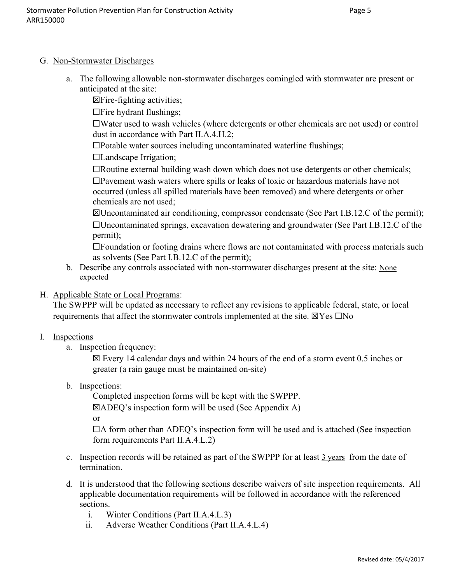#### G. Non-Stormwater Discharges

a. The following allowable non-stormwater discharges comingled with stormwater are present or anticipated at the site:

☒Fire-fighting activities;

☐Fire hydrant flushings;

☐Water used to wash vehicles (where detergents or other chemicals are not used) or control dust in accordance with Part II.A.4.H.2;

☐Potable water sources including uncontaminated waterline flushings;

☐Landscape Irrigation;

☐Routine external building wash down which does not use detergents or other chemicals; ☐Pavement wash waters where spills or leaks of toxic or hazardous materials have not occurred (unless all spilled materials have been removed) and where detergents or other chemicals are not used;

☒Uncontaminated air conditioning, compressor condensate (See Part I.B.12.C of the permit); ☐Uncontaminated springs, excavation dewatering and groundwater (See Part I.B.12.C of the permit);

☐Foundation or footing drains where flows are not contaminated with process materials such as solvents (See Part I.B.12.C of the permit);

- b. Describe any controls associated with non-stormwater discharges present at the site: None expected
- H. Applicable State or Local Programs:

The SWPPP will be updated as necessary to reflect any revisions to applicable federal, state, or local requirements that affect the stormwater controls implemented at the site.  $\boxtimes$ Yes  $\Box$ No

#### I. Inspections

a. Inspection frequency:

 $\boxtimes$  Every 14 calendar days and within 24 hours of the end of a storm event 0.5 inches or greater (a rain gauge must be maintained on-site)

b. Inspections:

Completed inspection forms will be kept with the SWPPP.

 $\boxtimes$ ADEQ's inspection form will be used (See Appendix A)

or

 $\Box A$  form other than ADEQ's inspection form will be used and is attached (See inspection form requirements Part II.A.4.L.2)

- c. Inspection records will be retained as part of the SWPPP for at least  $\frac{3 \text{ years}}{2 \text{ years}}$  from the date of termination.
- d. It is understood that the following sections describe waivers of site inspection requirements. All applicable documentation requirements will be followed in accordance with the referenced sections.
	- i. Winter Conditions (Part II.A.4.L.3)
	- ii. Adverse Weather Conditions (Part II.A.4.L.4)